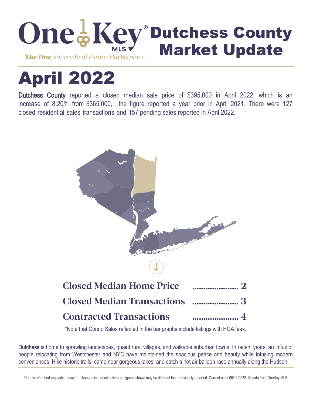

# April 2022

Dutchess County reported a closed median sale price of \$395,000 in April 2022, which is an increase of 8.20% from \$365,000, the figure reported a year prior in April 2021. There were 127 closed residential sales transactions and 157 pending sales reported in April 2022.



\*Note that Condo Sales reflected in the bar graphs include listings with HOA fees.

Dutchess is home to sprawling landscapes, quaint rural villages, and walkable suburban towns. In recent years, an influx of people relocating from Westchester and NYC have maintained the spacious peace and beauty while infusing modern conveniences. Hike historic trails, camp near gorgeous lakes, and catch a hot air balloon race annually along the Hudson.

Data is refreshed regularly to capture changes in market activity so figures shown may be different than previously reported. Current as of 05/13/2022. All data from OneKey MLS.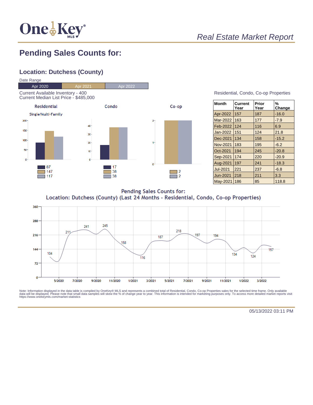

# **Pending Sales Counts for:**

## **Location: Dutchess (County)**



Residential, Condo, Co-op Properties

| ∣Month          | Current<br>Year | Prior<br>Year | %<br>Change |
|-----------------|-----------------|---------------|-------------|
| Apr-2022        | 157             | 187           | $-16.0$     |
| <b>Mar-2022</b> | 163             | 177           | $-7.9$      |
| Feb-2022        | 124             | 116           | 6.9         |
| <b>Jan-2022</b> | 151             | 124           | 21.8        |
| Dec-2021        | 134             | 158           | $-15.2$     |
| Nov-2021        | 183             | 195           | $-6.2$      |
| Oct-2021        | 194             | 245           | $-20.8$     |
| Sep-2021        | 174             | 220           | $-20.9$     |
| Aug-2021        | 197             | 241           | $-18.3$     |
| <b>Jul-2021</b> | 221             | 237           | $-6.8$      |
| <b>Jun-2021</b> | 218             | 211           | 3.3         |
| <b>May-2021</b> | 186             | 85            | 118.8       |

**Pending Sales Counts for:** Location: Dutchess (County) (Last 24 Months - Residential, Condo, Co-op Properties)



Note: Information displayed in the data table is compiled by OneKey® MLS and represents a combined total of Residential, Condo, Co-op Properties sales for the selected time frame. Only available<br>data will be displayed. Pl

05/13/2022 03:11 PM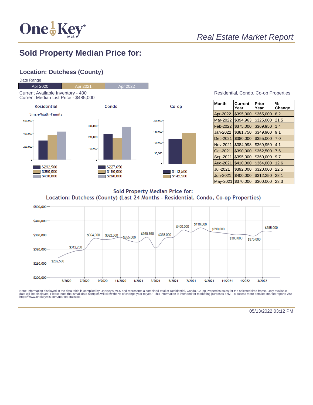

# Real Estate Market Report

## **Sold Property Median Price for:**

#### **Location: Dutchess (County)**



| <b>Month</b>    | Current<br>Year | Prior<br>Year | %<br>Change |
|-----------------|-----------------|---------------|-------------|
| Apr-2022        | \$395,000       | \$365,000     | 8.2         |
| Mar-2022        | \$394,963       | \$325,000     | 21.5        |
| Feb-2022        | \$375,000       | \$369,950     | 1.4         |
| Jan-2022        | \$381,750       | \$349,900     | 9.1         |
| Dec-2021        | \$380,000       | \$355,000     | 7.0         |
| Nov-2021        | \$384.998       | \$369.950     | 4.1         |
| Oct-2021        | \$390,000       | \$362,500     | 7.6         |
| Sep-2021        | \$395,000       | \$360,000     | 9.7         |
| Aug-2021        | \$410,000       | \$364,000     | 12.6        |
| <b>Jul-2021</b> | \$392,000       | \$320,000     | 22.5        |
| Jun-2021        | \$400,000       | \$312,250     | 28.1        |
| May-2021        | \$370,000       | \$300,000     | 23.3        |

**Sold Property Median Price for:** Location: Dutchess (County) (Last 24 Months - Residential, Condo, Co-op Properties)



Note: Information displayed in the data table is compiled by OneKey® MLS and represents a combined total of Residential, Condo, Co-op Properties sales for the selected time frame. Only available<br>data will be displayed. Pl

05/13/2022 03:12 PM